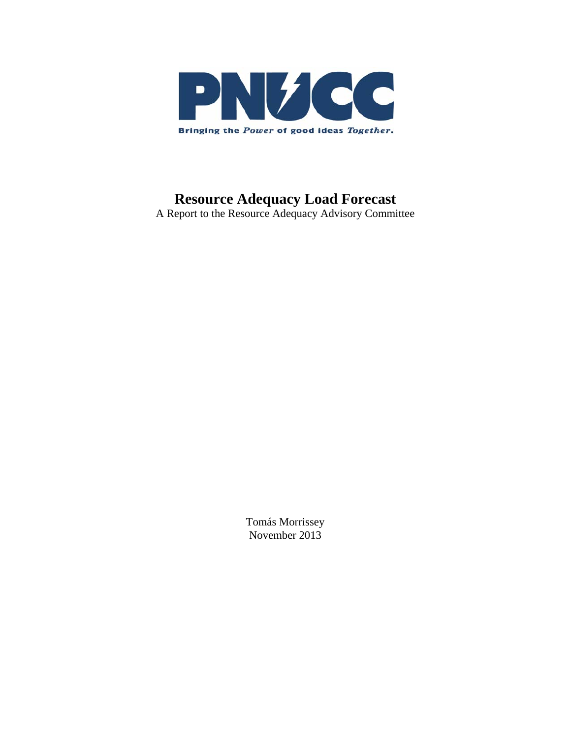

# **Resource Adequacy Load Forecast**

A Report to the Resource Adequacy Advisory Committee

Tomás Morrissey November 2013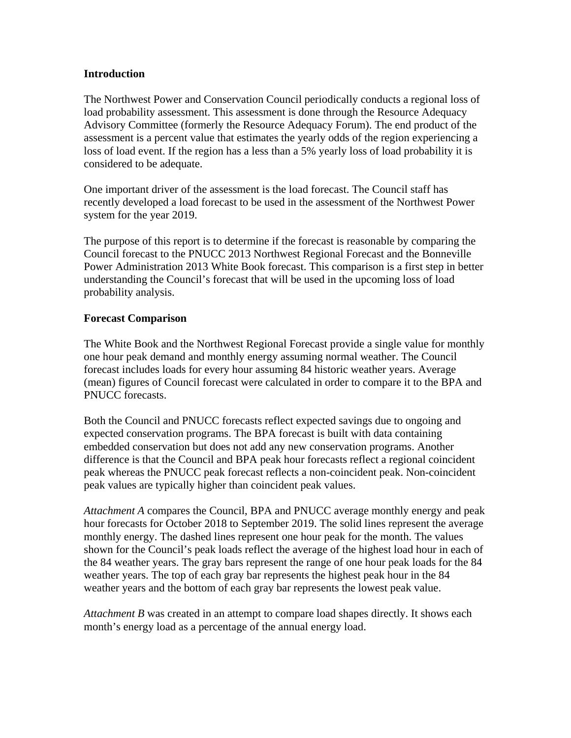#### **Introduction**

The Northwest Power and Conservation Council periodically conducts a regional loss of load probability assessment. This assessment is done through the Resource Adequacy Advisory Committee (formerly the Resource Adequacy Forum). The end product of the assessment is a percent value that estimates the yearly odds of the region experiencing a loss of load event. If the region has a less than a 5% yearly loss of load probability it is considered to be adequate.

One important driver of the assessment is the load forecast. The Council staff has recently developed a load forecast to be used in the assessment of the Northwest Power system for the year 2019.

The purpose of this report is to determine if the forecast is reasonable by comparing the Council forecast to the PNUCC 2013 Northwest Regional Forecast and the Bonneville Power Administration 2013 White Book forecast. This comparison is a first step in better understanding the Council's forecast that will be used in the upcoming loss of load probability analysis.

## **Forecast Comparison**

The White Book and the Northwest Regional Forecast provide a single value for monthly one hour peak demand and monthly energy assuming normal weather. The Council forecast includes loads for every hour assuming 84 historic weather years. Average (mean) figures of Council forecast were calculated in order to compare it to the BPA and PNUCC forecasts.

Both the Council and PNUCC forecasts reflect expected savings due to ongoing and expected conservation programs. The BPA forecast is built with data containing embedded conservation but does not add any new conservation programs. Another difference is that the Council and BPA peak hour forecasts reflect a regional coincident peak whereas the PNUCC peak forecast reflects a non-coincident peak. Non-coincident peak values are typically higher than coincident peak values.

*Attachment A* compares the Council, BPA and PNUCC average monthly energy and peak hour forecasts for October 2018 to September 2019. The solid lines represent the average monthly energy. The dashed lines represent one hour peak for the month. The values shown for the Council's peak loads reflect the average of the highest load hour in each of the 84 weather years. The gray bars represent the range of one hour peak loads for the 84 weather years. The top of each gray bar represents the highest peak hour in the 84 weather years and the bottom of each gray bar represents the lowest peak value.

*Attachment B* was created in an attempt to compare load shapes directly. It shows each month's energy load as a percentage of the annual energy load.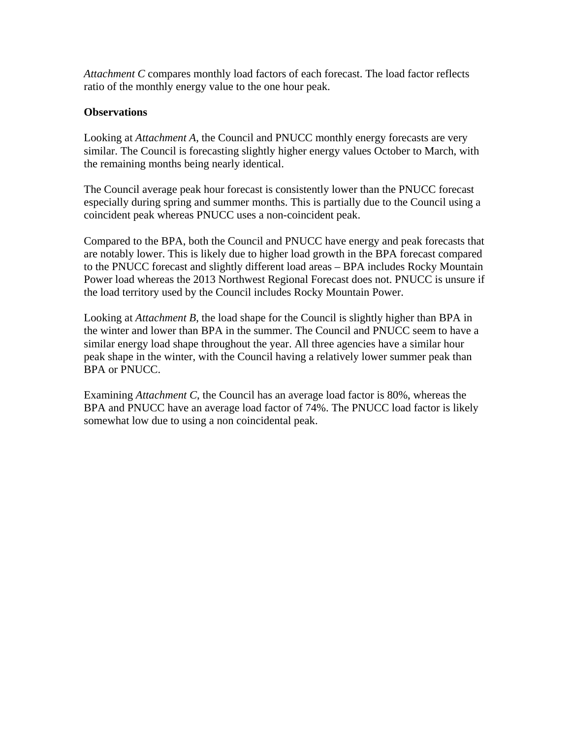*Attachment C* compares monthly load factors of each forecast. The load factor reflects ratio of the monthly energy value to the one hour peak.

#### **Observations**

Looking at *Attachment A*, the Council and PNUCC monthly energy forecasts are very similar. The Council is forecasting slightly higher energy values October to March, with the remaining months being nearly identical.

The Council average peak hour forecast is consistently lower than the PNUCC forecast especially during spring and summer months. This is partially due to the Council using a coincident peak whereas PNUCC uses a non-coincident peak.

Compared to the BPA, both the Council and PNUCC have energy and peak forecasts that are notably lower. This is likely due to higher load growth in the BPA forecast compared to the PNUCC forecast and slightly different load areas – BPA includes Rocky Mountain Power load whereas the 2013 Northwest Regional Forecast does not. PNUCC is unsure if the load territory used by the Council includes Rocky Mountain Power.

Looking at *Attachment B*, the load shape for the Council is slightly higher than BPA in the winter and lower than BPA in the summer. The Council and PNUCC seem to have a similar energy load shape throughout the year. All three agencies have a similar hour peak shape in the winter, with the Council having a relatively lower summer peak than BPA or PNUCC.

Examining *Attachment C*, the Council has an average load factor is 80%, whereas the BPA and PNUCC have an average load factor of 74%. The PNUCC load factor is likely somewhat low due to using a non coincidental peak.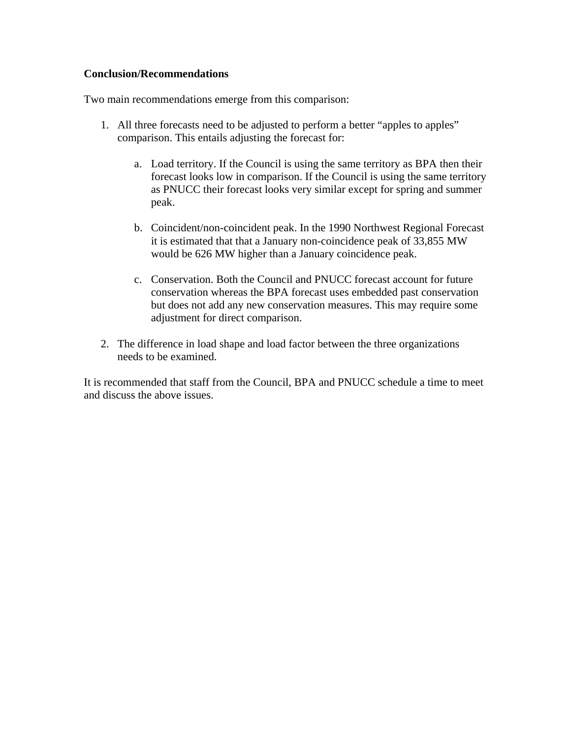## **Conclusion/Recommendations**

Two main recommendations emerge from this comparison:

- 1. All three forecasts need to be adjusted to perform a better "apples to apples" comparison. This entails adjusting the forecast for:
	- a. Load territory. If the Council is using the same territory as BPA then their forecast looks low in comparison. If the Council is using the same territory as PNUCC their forecast looks very similar except for spring and summer peak.
	- b. Coincident/non-coincident peak. In the 1990 Northwest Regional Forecast it is estimated that that a January non-coincidence peak of 33,855 MW would be 626 MW higher than a January coincidence peak.
	- c. Conservation. Both the Council and PNUCC forecast account for future conservation whereas the BPA forecast uses embedded past conservation but does not add any new conservation measures. This may require some adjustment for direct comparison.
- 2. The difference in load shape and load factor between the three organizations needs to be examined.

It is recommended that staff from the Council, BPA and PNUCC schedule a time to meet and discuss the above issues.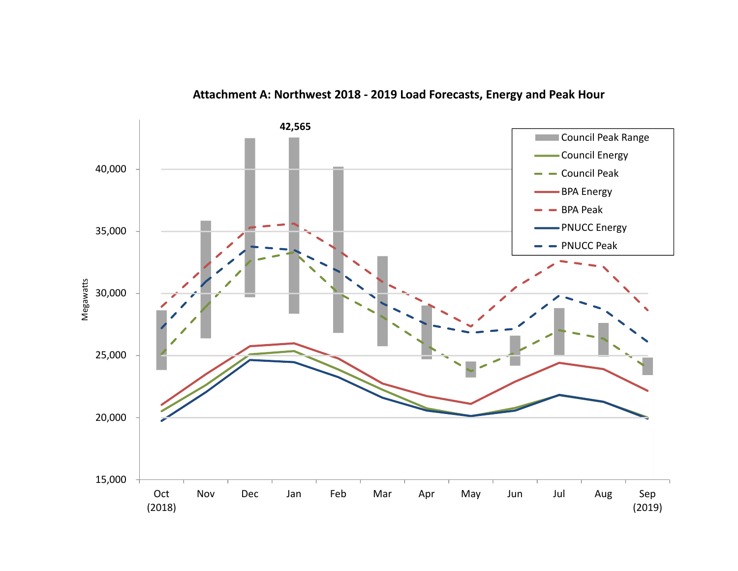

**Attachment A: Northwest 2018 ‐ 2019 Load Forecasts, Energy and Peak Hour**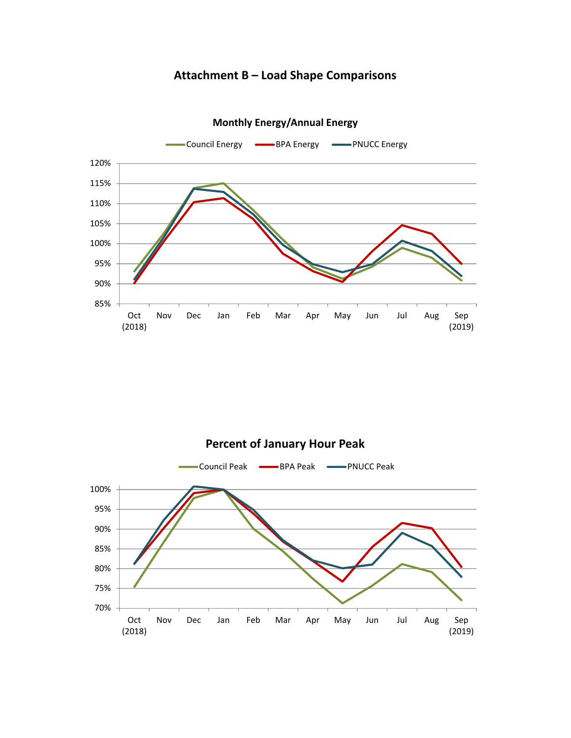# **Attachment B – Load Shape Comparisons**



**Monthly Energy/Annual Energy**



**Percent of January Hour Peak**